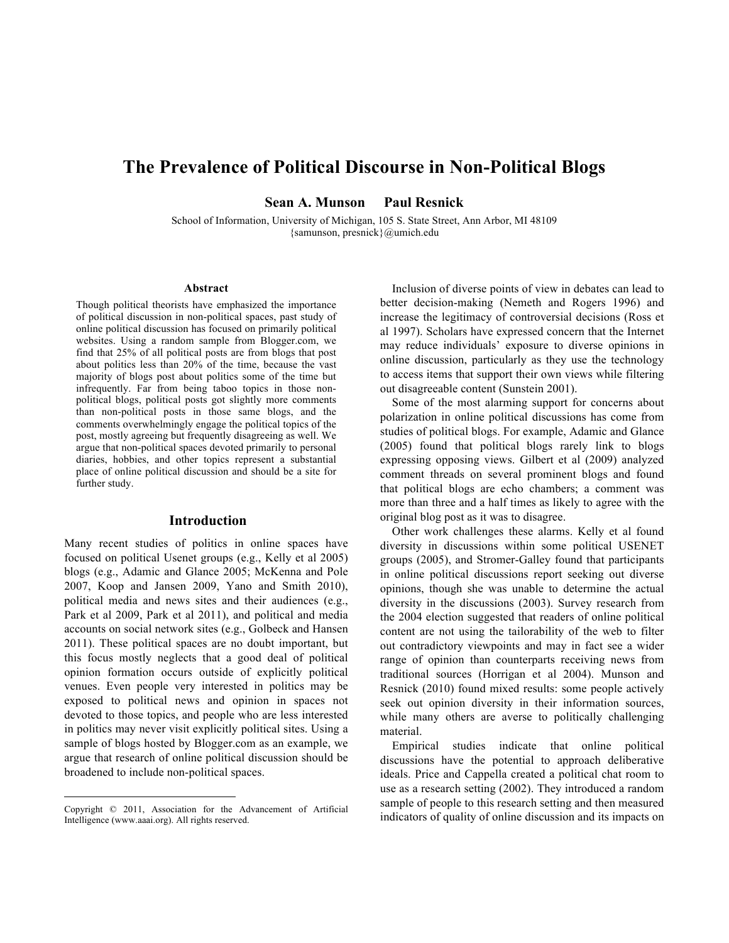# **The Prevalence of Political Discourse in Non-Political Blogs**

**Sean A. Munson Paul Resnick**

School of Information, University of Michigan, 105 S. State Street, Ann Arbor, MI 48109 {samunson, presnick}@umich.edu

#### **Abstract**

Though political theorists have emphasized the importance of political discussion in non-political spaces, past study of online political discussion has focused on primarily political websites. Using a random sample from Blogger.com, we find that 25% of all political posts are from blogs that post about politics less than 20% of the time, because the vast majority of blogs post about politics some of the time but infrequently. Far from being taboo topics in those nonpolitical blogs, political posts got slightly more comments than non-political posts in those same blogs, and the comments overwhelmingly engage the political topics of the post, mostly agreeing but frequently disagreeing as well. We argue that non-political spaces devoted primarily to personal diaries, hobbies, and other topics represent a substantial place of online political discussion and should be a site for further study.

#### **Introduction**

Many recent studies of politics in online spaces have focused on political Usenet groups (e.g., Kelly et al 2005) blogs (e.g., Adamic and Glance 2005; McKenna and Pole 2007, Koop and Jansen 2009, Yano and Smith 2010), political media and news sites and their audiences (e.g., Park et al 2009, Park et al 2011), and political and media accounts on social network sites (e.g., Golbeck and Hansen 2011). These political spaces are no doubt important, but this focus mostly neglects that a good deal of political opinion formation occurs outside of explicitly political venues. Even people very interested in politics may be exposed to political news and opinion in spaces not devoted to those topics, and people who are less interested in politics may never visit explicitly political sites. Using a sample of blogs hosted by Blogger.com as an example, we argue that research of online political discussion should be broadened to include non-political spaces.

Inclusion of diverse points of view in debates can lead to better decision-making (Nemeth and Rogers 1996) and increase the legitimacy of controversial decisions (Ross et al 1997). Scholars have expressed concern that the Internet may reduce individuals' exposure to diverse opinions in online discussion, particularly as they use the technology to access items that support their own views while filtering out disagreeable content (Sunstein 2001).

Some of the most alarming support for concerns about polarization in online political discussions has come from studies of political blogs. For example, Adamic and Glance (2005) found that political blogs rarely link to blogs expressing opposing views. Gilbert et al (2009) analyzed comment threads on several prominent blogs and found that political blogs are echo chambers; a comment was more than three and a half times as likely to agree with the original blog post as it was to disagree.

Other work challenges these alarms. Kelly et al found diversity in discussions within some political USENET groups (2005), and Stromer-Galley found that participants in online political discussions report seeking out diverse opinions, though she was unable to determine the actual diversity in the discussions (2003). Survey research from the 2004 election suggested that readers of online political content are not using the tailorability of the web to filter out contradictory viewpoints and may in fact see a wider range of opinion than counterparts receiving news from traditional sources (Horrigan et al 2004). Munson and Resnick (2010) found mixed results: some people actively seek out opinion diversity in their information sources, while many others are averse to politically challenging material.

Empirical studies indicate that online political discussions have the potential to approach deliberative ideals. Price and Cappella created a political chat room to use as a research setting (2002). They introduced a random sample of people to this research setting and then measured indicators of quality of online discussion and its impacts on

Copyright © 2011, Association for the Advancement of Artificial Intelligence (www.aaai.org). All rights reserved.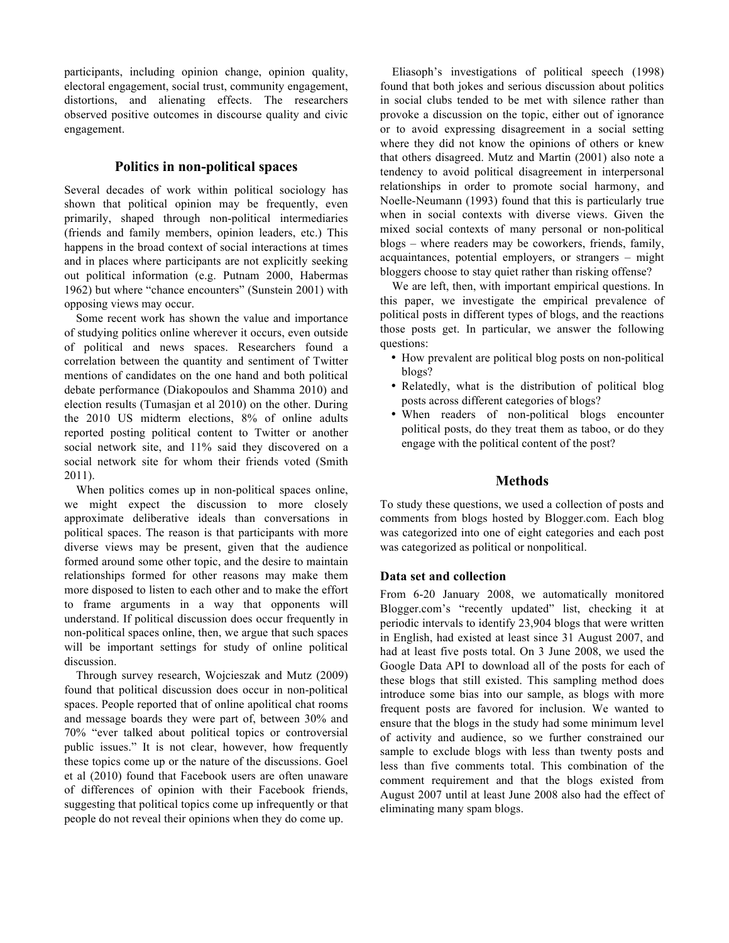participants, including opinion change, opinion quality, electoral engagement, social trust, community engagement, distortions, and alienating effects. The researchers observed positive outcomes in discourse quality and civic engagement.

# **Politics in non-political spaces**

Several decades of work within political sociology has shown that political opinion may be frequently, even primarily, shaped through non-political intermediaries (friends and family members, opinion leaders, etc.) This happens in the broad context of social interactions at times and in places where participants are not explicitly seeking out political information (e.g. Putnam 2000, Habermas 1962) but where "chance encounters" (Sunstein 2001) with opposing views may occur.

Some recent work has shown the value and importance of studying politics online wherever it occurs, even outside of political and news spaces. Researchers found a correlation between the quantity and sentiment of Twitter mentions of candidates on the one hand and both political debate performance (Diakopoulos and Shamma 2010) and election results (Tumasjan et al 2010) on the other. During the 2010 US midterm elections, 8% of online adults reported posting political content to Twitter or another social network site, and 11% said they discovered on a social network site for whom their friends voted (Smith 2011).

When politics comes up in non-political spaces online, we might expect the discussion to more closely approximate deliberative ideals than conversations in political spaces. The reason is that participants with more diverse views may be present, given that the audience formed around some other topic, and the desire to maintain relationships formed for other reasons may make them more disposed to listen to each other and to make the effort to frame arguments in a way that opponents will understand. If political discussion does occur frequently in non-political spaces online, then, we argue that such spaces will be important settings for study of online political discussion.

Through survey research, Wojcieszak and Mutz (2009) found that political discussion does occur in non-political spaces. People reported that of online apolitical chat rooms and message boards they were part of, between 30% and 70% "ever talked about political topics or controversial public issues." It is not clear, however, how frequently these topics come up or the nature of the discussions. Goel et al (2010) found that Facebook users are often unaware of differences of opinion with their Facebook friends, suggesting that political topics come up infrequently or that people do not reveal their opinions when they do come up.

Eliasoph's investigations of political speech (1998) found that both jokes and serious discussion about politics in social clubs tended to be met with silence rather than provoke a discussion on the topic, either out of ignorance or to avoid expressing disagreement in a social setting where they did not know the opinions of others or knew that others disagreed. Mutz and Martin (2001) also note a tendency to avoid political disagreement in interpersonal relationships in order to promote social harmony, and Noelle-Neumann (1993) found that this is particularly true when in social contexts with diverse views. Given the mixed social contexts of many personal or non-political blogs – where readers may be coworkers, friends, family, acquaintances, potential employers, or strangers – might bloggers choose to stay quiet rather than risking offense?

We are left, then, with important empirical questions. In this paper, we investigate the empirical prevalence of political posts in different types of blogs, and the reactions those posts get. In particular, we answer the following questions:

- How prevalent are political blog posts on non-political blogs?
- Relatedly, what is the distribution of political blog posts across different categories of blogs?
- When readers of non-political blogs encounter political posts, do they treat them as taboo, or do they engage with the political content of the post?

# **Methods**

To study these questions, we used a collection of posts and comments from blogs hosted by Blogger.com. Each blog was categorized into one of eight categories and each post was categorized as political or nonpolitical.

# **Data set and collection**

From 6-20 January 2008, we automatically monitored Blogger.com's "recently updated" list, checking it at periodic intervals to identify 23,904 blogs that were written in English, had existed at least since 31 August 2007, and had at least five posts total. On 3 June 2008, we used the Google Data API to download all of the posts for each of these blogs that still existed. This sampling method does introduce some bias into our sample, as blogs with more frequent posts are favored for inclusion. We wanted to ensure that the blogs in the study had some minimum level of activity and audience, so we further constrained our sample to exclude blogs with less than twenty posts and less than five comments total. This combination of the comment requirement and that the blogs existed from August 2007 until at least June 2008 also had the effect of eliminating many spam blogs.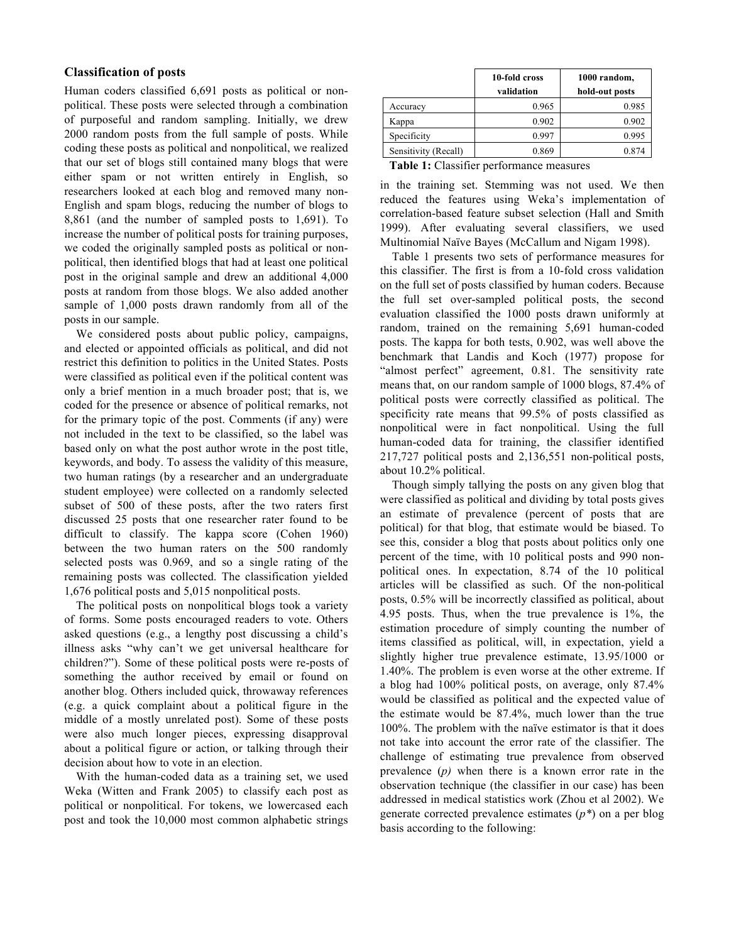# **Classification of posts**

Human coders classified 6,691 posts as political or nonpolitical. These posts were selected through a combination of purposeful and random sampling. Initially, we drew 2000 random posts from the full sample of posts. While coding these posts as political and nonpolitical, we realized that our set of blogs still contained many blogs that were either spam or not written entirely in English, so researchers looked at each blog and removed many non-English and spam blogs, reducing the number of blogs to 8,861 (and the number of sampled posts to 1,691). To increase the number of political posts for training purposes, we coded the originally sampled posts as political or nonpolitical, then identified blogs that had at least one political post in the original sample and drew an additional 4,000 posts at random from those blogs. We also added another sample of 1,000 posts drawn randomly from all of the posts in our sample.

We considered posts about public policy, campaigns, and elected or appointed officials as political, and did not restrict this definition to politics in the United States. Posts were classified as political even if the political content was only a brief mention in a much broader post; that is, we coded for the presence or absence of political remarks, not for the primary topic of the post. Comments (if any) were not included in the text to be classified, so the label was based only on what the post author wrote in the post title, keywords, and body. To assess the validity of this measure, two human ratings (by a researcher and an undergraduate student employee) were collected on a randomly selected subset of 500 of these posts, after the two raters first discussed 25 posts that one researcher rater found to be difficult to classify. The kappa score (Cohen 1960) between the two human raters on the 500 randomly selected posts was 0.969, and so a single rating of the remaining posts was collected. The classification yielded 1,676 political posts and 5,015 nonpolitical posts.

The political posts on nonpolitical blogs took a variety of forms. Some posts encouraged readers to vote. Others asked questions (e.g., a lengthy post discussing a child's illness asks "why can't we get universal healthcare for children?"). Some of these political posts were re-posts of something the author received by email or found on another blog. Others included quick, throwaway references (e.g. a quick complaint about a political figure in the middle of a mostly unrelated post). Some of these posts were also much longer pieces, expressing disapproval about a political figure or action, or talking through their decision about how to vote in an election.

With the human-coded data as a training set, we used Weka (Witten and Frank 2005) to classify each post as political or nonpolitical. For tokens, we lowercased each post and took the 10,000 most common alphabetic strings

|                      | 10-fold cross<br>validation | 1000 random,<br>hold-out posts |
|----------------------|-----------------------------|--------------------------------|
| Accuracy             | 0.965                       | 0.985                          |
| Kappa                | 0.902                       | 0.902                          |
| Specificity          | 0.997                       | 0.995                          |
| Sensitivity (Recall) | 0.869                       | 0.874                          |

**Table 1:** Classifier performance measures

in the training set. Stemming was not used. We then reduced the features using Weka's implementation of correlation-based feature subset selection (Hall and Smith 1999). After evaluating several classifiers, we used Multinomial Naïve Bayes (McCallum and Nigam 1998).

Table 1 presents two sets of performance measures for this classifier. The first is from a 10-fold cross validation on the full set of posts classified by human coders. Because the full set over-sampled political posts, the second evaluation classified the 1000 posts drawn uniformly at random, trained on the remaining 5,691 human-coded posts. The kappa for both tests, 0.902, was well above the benchmark that Landis and Koch (1977) propose for "almost perfect" agreement, 0.81. The sensitivity rate means that, on our random sample of 1000 blogs, 87.4% of political posts were correctly classified as political. The specificity rate means that 99.5% of posts classified as nonpolitical were in fact nonpolitical. Using the full human-coded data for training, the classifier identified 217,727 political posts and 2,136,551 non-political posts, about 10.2% political.

Though simply tallying the posts on any given blog that were classified as political and dividing by total posts gives an estimate of prevalence (percent of posts that are political) for that blog, that estimate would be biased. To see this, consider a blog that posts about politics only one percent of the time, with 10 political posts and 990 nonpolitical ones. In expectation, 8.74 of the 10 political articles will be classified as such. Of the non-political posts, 0.5% will be incorrectly classified as political, about 4.95 posts. Thus, when the true prevalence is 1%, the estimation procedure of simply counting the number of items classified as political, will, in expectation, yield a slightly higher true prevalence estimate, 13.95/1000 or 1.40%. The problem is even worse at the other extreme. If a blog had 100% political posts, on average, only 87.4% would be classified as political and the expected value of the estimate would be 87.4%, much lower than the true 100%. The problem with the naïve estimator is that it does not take into account the error rate of the classifier. The challenge of estimating true prevalence from observed prevalence (*p)* when there is a known error rate in the observation technique (the classifier in our case) has been addressed in medical statistics work (Zhou et al 2002). We generate corrected prevalence estimates (*p\**) on a per blog basis according to the following: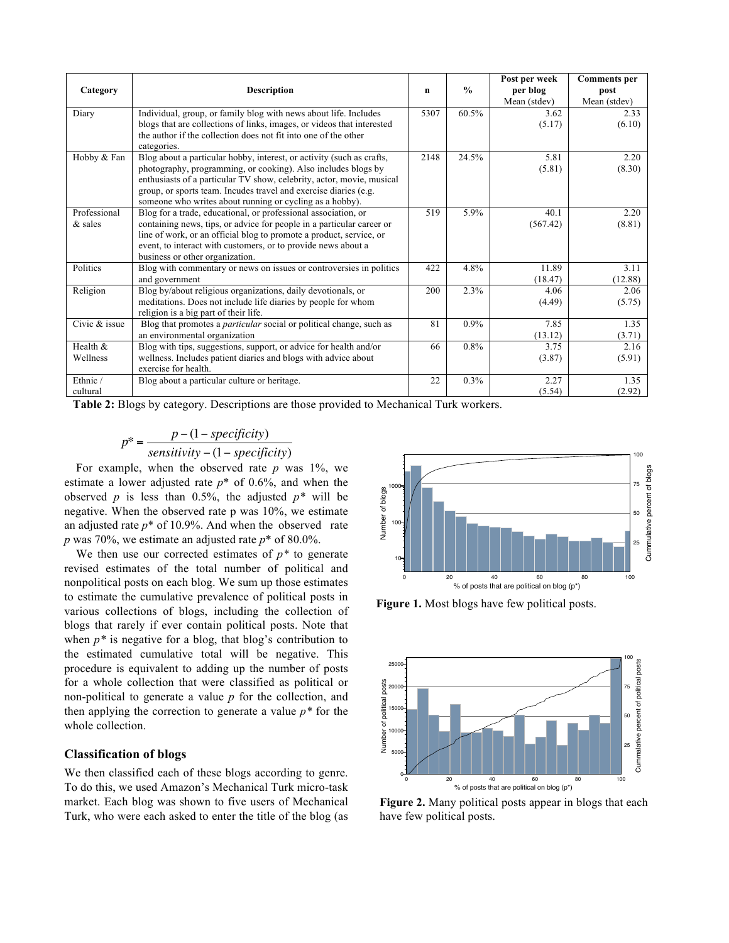| Category                  | <b>Description</b>                                                                                                                                                                                                                                                                                                                              | n    | $\frac{0}{0}$ | Post per week<br>per blog<br>Mean (stdev) | <b>Comments</b> per<br>post<br>Mean (stdev) |
|---------------------------|-------------------------------------------------------------------------------------------------------------------------------------------------------------------------------------------------------------------------------------------------------------------------------------------------------------------------------------------------|------|---------------|-------------------------------------------|---------------------------------------------|
| Diary                     | Individual, group, or family blog with news about life. Includes<br>blogs that are collections of links, images, or videos that interested<br>the author if the collection does not fit into one of the other<br>categories.                                                                                                                    | 5307 | 60.5%         | 3.62<br>(5.17)                            | 2.33<br>(6.10)                              |
| Hobby & Fan               | Blog about a particular hobby, interest, or activity (such as crafts,<br>photography, programming, or cooking). Also includes blogs by<br>enthusiasts of a particular TV show, celebrity, actor, movie, musical<br>group, or sports team. Incudes travel and exercise diaries (e.g.<br>someone who writes about running or cycling as a hobby). | 2148 | 24.5%         | 5.81<br>(5.81)                            | 2.20<br>(8.30)                              |
| Professional<br>$&$ sales | Blog for a trade, educational, or professional association, or<br>containing news, tips, or advice for people in a particular career or<br>line of work, or an official blog to promote a product, service, or<br>event, to interact with customers, or to provide news about a<br>business or other organization.                              | 519  | 5.9%          | 40.1<br>(567.42)                          | 2.20<br>(8.81)                              |
| Politics                  | Blog with commentary or news on issues or controversies in politics<br>and government                                                                                                                                                                                                                                                           | 422  | 4.8%          | 11.89<br>(18.47)                          | 3.11<br>(12.88)                             |
| Religion                  | Blog by/about religious organizations, daily devotionals, or<br>meditations. Does not include life diaries by people for whom<br>religion is a big part of their life.                                                                                                                                                                          | 200  | 2.3%          | 4.06<br>(4.49)                            | 2.06<br>(5.75)                              |
| Civic & issue             | Blog that promotes a <i>particular</i> social or political change, such as<br>an environmental organization                                                                                                                                                                                                                                     | 81   | $0.9\%$       | 7.85<br>(13.12)                           | 1.35<br>(3.71)                              |
| Health $&$<br>Wellness    | Blog with tips, suggestions, support, or advice for health and/or<br>wellness. Includes patient diaries and blogs with advice about<br>exercise for health.                                                                                                                                                                                     | 66   | 0.8%          | 3.75<br>(3.87)                            | 2.16<br>(5.91)                              |
| Ethnic /<br>cultural      | Blog about a particular culture or heritage.                                                                                                                                                                                                                                                                                                    | 22   | 0.3%          | 2.27<br>(5.54)                            | 1.35<br>(2.92)                              |

**Table 2:** Blogs by category. Descriptions are those provided to Mechanical Turk workers.

$$
p^* = \frac{p - (1 - specificity)}{sensitivity - (1 - specificity)}
$$

! negative. When the observed rate p was 10%, we estimate For example, when the observed rate  $p$  was 1%, we estimate a lower adjusted rate *p*\* of 0.6%, and when the observed  $p$  is less than 0.5%, the adjusted  $p^*$  will be an adjusted rate  $p^*$  of 10.9%. And when the observed rate *p* was 70%, we estimate an adjusted rate *p*\* of 80.0%.

We then use our corrected estimates of  $p^*$  to generate revised estimates of the total number of political and nonpolitical posts on each blog. We sum up those estimates to estimate the cumulative prevalence of political posts in various collections of blogs, including the collection of blogs that rarely if ever contain political posts. Note that when  $p^*$  is negative for a blog, that blog's contribution to the estimated cumulative total will be negative. This procedure is equivalent to adding up the number of posts for a whole collection that were classified as political or non-political to generate a value *p* for the collection, and then applying the correction to generate a value *p\** for the whole collection.

#### **Classification of blogs**

We then classified each of these blogs according to genre. To do this, we used Amazon's Mechanical Turk micro-task market. Each blog was shown to five users of Mechanical Turk, who were each asked to enter the title of the blog (as



**Figure 1.** Most blogs have few political posts.



**Figure 2.** Many political posts appear in blogs that each have few political posts.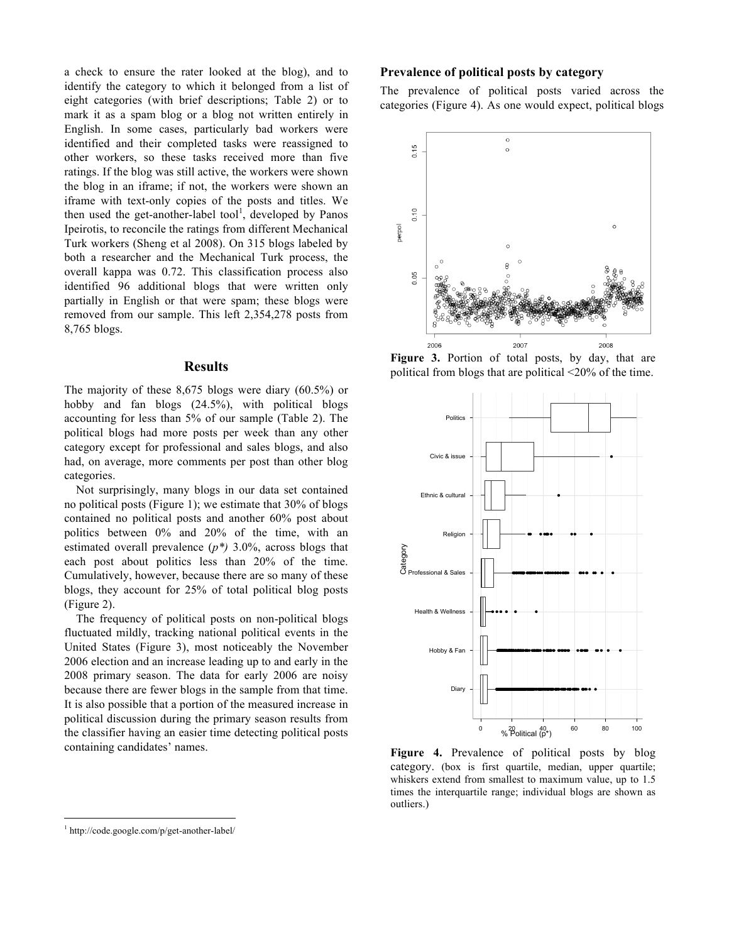a check to ensure the rater looked at the blog), and to identify the category to which it belonged from a list of eight categories (with brief descriptions; Table 2) or to mark it as a spam blog or a blog not written entirely in English. In some cases, particularly bad workers were identified and their completed tasks were reassigned to other workers, so these tasks received more than five ratings. If the blog was still active, the workers were shown the blog in an iframe; if not, the workers were shown an iframe with text-only copies of the posts and titles. We then used the get-another-label tool<sup>1</sup>, developed by Panos Ipeirotis, to reconcile the ratings from different Mechanical Turk workers (Sheng et al 2008). On 315 blogs labeled by both a researcher and the Mechanical Turk process, the overall kappa was 0.72. This classification process also identified 96 additional blogs that were written only partially in English or that were spam; these blogs were removed from our sample. This left 2,354,278 posts from 8,765 blogs.

#### **Results**

The majority of these 8,675 blogs were diary (60.5%) or hobby and fan blogs (24.5%), with political blogs accounting for less than 5% of our sample (Table 2). The political blogs had more posts per week than any other category except for professional and sales blogs, and also had, on average, more comments per post than other blog categories.

Not surprisingly, many blogs in our data set contained no political posts (Figure 1); we estimate that 30% of blogs contained no political posts and another 60% post about politics between 0% and 20% of the time, with an estimated overall prevalence (*p\*)* 3.0%, across blogs that each post about politics less than 20% of the time. Cumulatively, however, because there are so many of these blogs, they account for 25% of total political blog posts (Figure 2).

The frequency of political posts on non-political blogs fluctuated mildly, tracking national political events in the United States (Figure 3), most noticeably the November 2006 election and an increase leading up to and early in the 2008 primary season. The data for early 2006 are noisy because there are fewer blogs in the sample from that time. It is also possible that a portion of the measured increase in political discussion during the primary season results from the classifier having an easier time detecting political posts containing candidates' names.

#### **Prevalence of political posts by category**

The prevalence of political posts varied across the categories (Figure 4). As one would expect, political blogs



**Figure 3.** Portion of total posts, by day, that are political from blogs that are political <20% of the time.



**Figure 4.** Prevalence of political posts by blog category. (box is first quartile, median, upper quartile; whiskers extend from smallest to maximum value, up to 1.5 times the interquartile range; individual blogs are shown as outliers.)

 <sup>1</sup> http://code.google.com/p/get-another-label/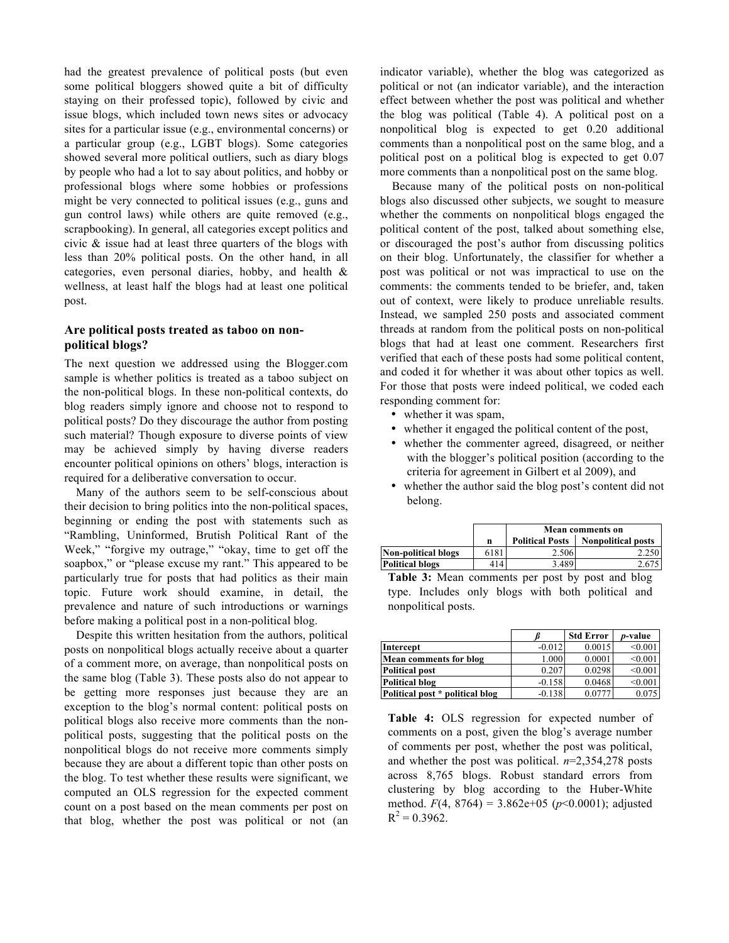had the greatest prevalence of political posts (but even some political bloggers showed quite a bit of difficulty staying on their professed topic), followed by civic and issue blogs, which included town news sites or advocacy sites for a particular issue (e.g., environmental concerns) or a particular group (e.g., LGBT blogs). Some categories showed several more political outliers, such as diary blogs by people who had a lot to say about politics, and hobby or professional blogs where some hobbies or professions might be very connected to political issues (e.g., guns and gun control laws) while others are quite removed (e.g., scrapbooking). In general, all categories except politics and civic & issue had at least three quarters of the blogs with less than 20% political posts. On the other hand, in all categories, even personal diaries, hobby, and health & wellness, at least half the blogs had at least one political post.

### **Are political posts treated as taboo on nonpolitical blogs?**

The next question we addressed using the Blogger.com sample is whether politics is treated as a taboo subject on the non-political blogs. In these non-political contexts, do blog readers simply ignore and choose not to respond to political posts? Do they discourage the author from posting such material? Though exposure to diverse points of view may be achieved simply by having diverse readers encounter political opinions on others' blogs, interaction is required for a deliberative conversation to occur.

Many of the authors seem to be self-conscious about their decision to bring politics into the non-political spaces, beginning or ending the post with statements such as "Rambling, Uninformed, Brutish Political Rant of the Week," "forgive my outrage," "okay, time to get off the soapbox," or "please excuse my rant." This appeared to be particularly true for posts that had politics as their main topic. Future work should examine, in detail, the prevalence and nature of such introductions or warnings before making a political post in a non-political blog.

Despite this written hesitation from the authors, political posts on nonpolitical blogs actually receive about a quarter of a comment more, on average, than nonpolitical posts on the same blog (Table 3). These posts also do not appear to be getting more responses just because they are an exception to the blog's normal content: political posts on political blogs also receive more comments than the nonpolitical posts, suggesting that the political posts on the nonpolitical blogs do not receive more comments simply because they are about a different topic than other posts on the blog. To test whether these results were significant, we computed an OLS regression for the expected comment count on a post based on the mean comments per post on that blog, whether the post was political or not (an

indicator variable), whether the blog was categorized as political or not (an indicator variable), and the interaction effect between whether the post was political and whether the blog was political (Table 4). A political post on a nonpolitical blog is expected to get 0.20 additional comments than a nonpolitical post on the same blog, and a political post on a political blog is expected to get 0.07 more comments than a nonpolitical post on the same blog.

Because many of the political posts on non-political blogs also discussed other subjects, we sought to measure whether the comments on nonpolitical blogs engaged the political content of the post, talked about something else, or discouraged the post's author from discussing politics on their blog. Unfortunately, the classifier for whether a post was political or not was impractical to use on the comments: the comments tended to be briefer, and, taken out of context, were likely to produce unreliable results. Instead, we sampled 250 posts and associated comment threads at random from the political posts on non-political blogs that had at least one comment. Researchers first verified that each of these posts had some political content, and coded it for whether it was about other topics as well. For those that posts were indeed political, we coded each responding comment for:

- whether it was spam,
- whether it engaged the political content of the post,
- whether the commenter agreed, disagreed, or neither with the blogger's political position (according to the criteria for agreement in Gilbert et al 2009), and
- whether the author said the blog post's content did not belong.

|                            |      | Mean comments on       |                           |  |
|----------------------------|------|------------------------|---------------------------|--|
|                            | n    | <b>Political Posts</b> | <b>Nonpolitical posts</b> |  |
| <b>Non-political blogs</b> | 6181 | 2.506                  | 2.250                     |  |
| <b>Political blogs</b>     | 414  | 3.489                  |                           |  |

**Table 3:** Mean comments per post by post and blog type. Includes only blogs with both political and nonpolitical posts.

|                                 |          | <b>Std Error</b> | <i>p</i> -value |
|---------------------------------|----------|------------------|-----------------|
| Intercept                       | $-0.012$ | 0.0015           | < 0.001         |
| Mean comments for blog          | 1.000    | 0.0001           | < 0.001         |
| <b>Political post</b>           | 0.207    | 0.0298           | < 0.001         |
| <b>Political blog</b>           | $-0.158$ | 0.0468           | < 0.001         |
| Political post * political blog | $-0.138$ | 0.0777           | 0.075           |

**Table 4:** OLS regression for expected number of comments on a post, given the blog's average number of comments per post, whether the post was political, and whether the post was political. *n*=2,354,278 posts across 8,765 blogs. Robust standard errors from clustering by blog according to the Huber-White method.  $F(4, 8764) = 3.862e+05$  ( $p<0.0001$ ); adjusted  $R^2$  = 0.3962.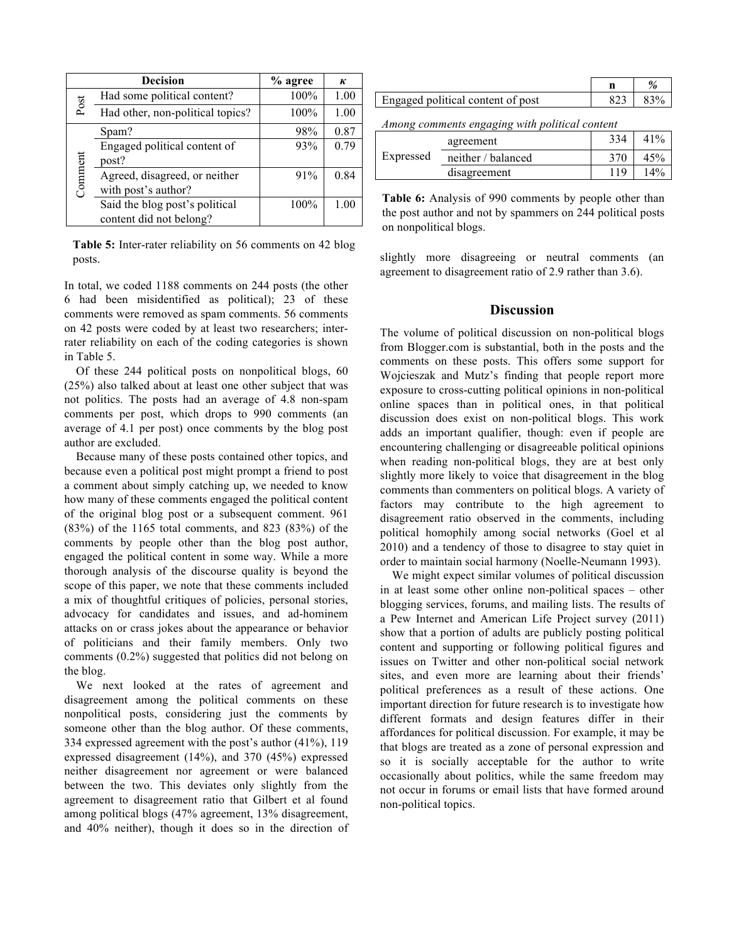|         | <b>Decision</b>                                           | % agree | к    |
|---------|-----------------------------------------------------------|---------|------|
|         | Had some political content?                               | 100%    | 1.00 |
| Post    | Had other, non-political topics?                          | 100%    | 1.00 |
|         | Spam?                                                     | 98%     | 0.87 |
|         | Engaged political content of<br>post?                     | 93%     | 0.79 |
| Comment | Agreed, disagreed, or neither<br>with post's author?      | 91%     | 0.84 |
|         | Said the blog post's political<br>content did not belong? | 100%    | 1.00 |

**Table 5:** Inter-rater reliability on 56 comments on 42 blog posts.

In total, we coded 1188 comments on 244 posts (the other 6 had been misidentified as political); 23 of these comments were removed as spam comments. 56 comments on 42 posts were coded by at least two researchers; interrater reliability on each of the coding categories is shown in Table 5.

Of these 244 political posts on nonpolitical blogs, 60 (25%) also talked about at least one other subject that was not politics. The posts had an average of 4.8 non-spam comments per post, which drops to 990 comments (an average of 4.1 per post) once comments by the blog post author are excluded.

Because many of these posts contained other topics, and because even a political post might prompt a friend to post a comment about simply catching up, we needed to know how many of these comments engaged the political content of the original blog post or a subsequent comment. 961 (83%) of the 1165 total comments, and 823 (83%) of the comments by people other than the blog post author, engaged the political content in some way. While a more thorough analysis of the discourse quality is beyond the scope of this paper, we note that these comments included a mix of thoughtful critiques of policies, personal stories, advocacy for candidates and issues, and ad-hominem attacks on or crass jokes about the appearance or behavior of politicians and their family members. Only two comments (0.2%) suggested that politics did not belong on the blog.

We next looked at the rates of agreement and disagreement among the political comments on these nonpolitical posts, considering just the comments by someone other than the blog author. Of these comments, 334 expressed agreement with the post's author (41%), 119 expressed disagreement (14%), and 370 (45%) expressed neither disagreement nor agreement or were balanced between the two. This deviates only slightly from the agreement to disagreement ratio that Gilbert et al found among political blogs (47% agreement, 13% disagreement, and 40% neither), though it does so in the direction of

| Engaged political content of post |  |
|-----------------------------------|--|

*Among comments engaging with political content*

|           | agreement          | 334 | 41%    |
|-----------|--------------------|-----|--------|
| Expressed | neither / balanced | 370 | 45%    |
|           | disagreement       | 119 | $14\%$ |

**Table 6:** Analysis of 990 comments by people other than the post author and not by spammers on 244 political posts on nonpolitical blogs.

slightly more disagreeing or neutral comments (an agreement to disagreement ratio of 2.9 rather than 3.6).

# **Discussion**

The volume of political discussion on non-political blogs from Blogger.com is substantial, both in the posts and the comments on these posts. This offers some support for Wojcieszak and Mutz's finding that people report more exposure to cross-cutting political opinions in non-political online spaces than in political ones, in that political discussion does exist on non-political blogs. This work adds an important qualifier, though: even if people are encountering challenging or disagreeable political opinions when reading non-political blogs, they are at best only slightly more likely to voice that disagreement in the blog comments than commenters on political blogs. A variety of factors may contribute to the high agreement to disagreement ratio observed in the comments, including political homophily among social networks (Goel et al 2010) and a tendency of those to disagree to stay quiet in order to maintain social harmony (Noelle-Neumann 1993).

We might expect similar volumes of political discussion in at least some other online non-political spaces – other blogging services, forums, and mailing lists. The results of a Pew Internet and American Life Project survey (2011) show that a portion of adults are publicly posting political content and supporting or following political figures and issues on Twitter and other non-political social network sites, and even more are learning about their friends' political preferences as a result of these actions. One important direction for future research is to investigate how different formats and design features differ in their affordances for political discussion. For example, it may be that blogs are treated as a zone of personal expression and so it is socially acceptable for the author to write occasionally about politics, while the same freedom may not occur in forums or email lists that have formed around non-political topics.